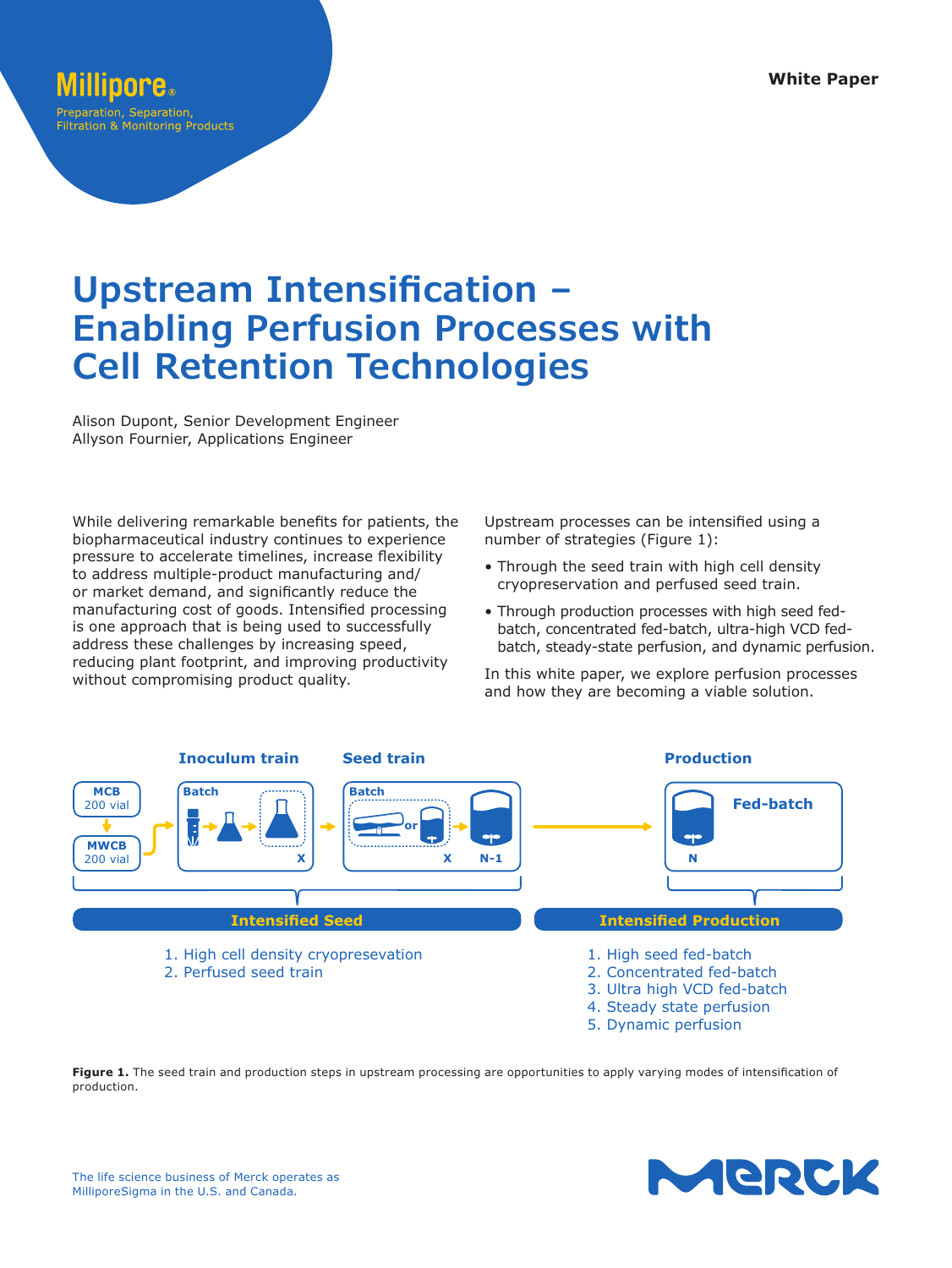# Preparation, Separation

Filtration & Monitoring Products

# **Upstream Intensification – Enabling Perfusion Processes with Cell Retention Technologies**

Alison Dupont, Senior Development Engineer Allyson Fournier, Applications Engineer

While delivering remarkable benefits for patients, the biopharmaceutical industry continues to experience pressure to accelerate timelines, increase flexibility to address multiple-product manufacturing and/ or market demand, and significantly reduce the manufacturing cost of goods. Intensified processing is one approach that is being used to successfully address these challenges by increasing speed, reducing plant footprint, and improving productivity without compromising product quality.

Upstream processes can be intensified using a number of strategies (Figure 1):

- Through the seed train with high cell density cryopreservation and perfused seed train.
- Through production processes with high seed fedbatch, concentrated fed-batch, ultra-high VCD fedbatch, steady-state perfusion, and dynamic perfusion.

In this white paper, we explore perfusion processes and how they are becoming a viable solution.



Figure 1. The seed train and production steps in upstream processing are opportunities to apply varying modes of intensification of production.

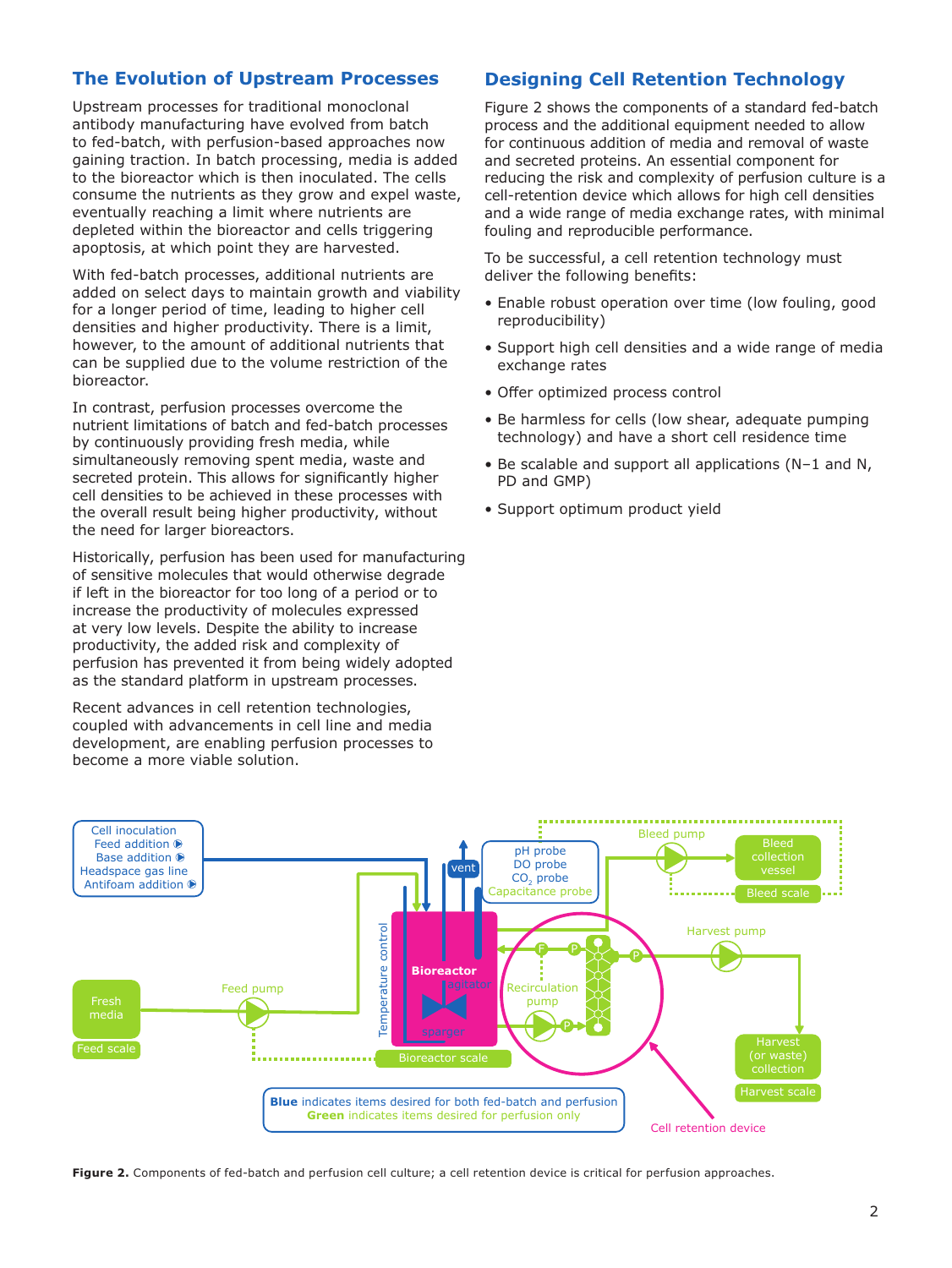# **The Evolution of Upstream Processes**

Upstream processes for traditional monoclonal antibody manufacturing have evolved from batch to fed-batch, with perfusion-based approaches now gaining traction. In batch processing, media is added to the bioreactor which is then inoculated. The cells consume the nutrients as they grow and expel waste, eventually reaching a limit where nutrients are depleted within the bioreactor and cells triggering apoptosis, at which point they are harvested.

With fed-batch processes, additional nutrients are added on select days to maintain growth and viability for a longer period of time, leading to higher cell densities and higher productivity. There is a limit, however, to the amount of additional nutrients that can be supplied due to the volume restriction of the bioreactor.

In contrast, perfusion processes overcome the nutrient limitations of batch and fed-batch processes by continuously providing fresh media, while simultaneously removing spent media, waste and secreted protein. This allows for significantly higher cell densities to be achieved in these processes with the overall result being higher productivity, without the need for larger bioreactors.

Historically, perfusion has been used for manufacturing of sensitive molecules that would otherwise degrade if left in the bioreactor for too long of a period or to increase the productivity of molecules expressed at very low levels. Despite the ability to increase productivity, the added risk and complexity of perfusion has prevented it from being widely adopted as the standard platform in upstream processes.

Recent advances in cell retention technologies, coupled with advancements in cell line and media development, are enabling perfusion processes to become a more viable solution.

#### **Designing Cell Retention Technology**

Figure 2 shows the components of a standard fed-batch process and the additional equipment needed to allow for continuous addition of media and removal of waste and secreted proteins. An essential component for reducing the risk and complexity of perfusion culture is a cell-retention device which allows for high cell densities and a wide range of media exchange rates, with minimal fouling and reproducible performance.

To be successful, a cell retention technology must deliver the following benefits:

- Enable robust operation over time (low fouling, good reproducibility)
- Support high cell densities and a wide range of media exchange rates
- Offer optimized process control
- Be harmless for cells (low shear, adequate pumping technology) and have a short cell residence time
- Be scalable and support all applications (N–1 and N, PD and GMP)
- Support optimum product yield



**Figure 2.** Components of fed-batch and perfusion cell culture; a cell retention device is critical for perfusion approaches.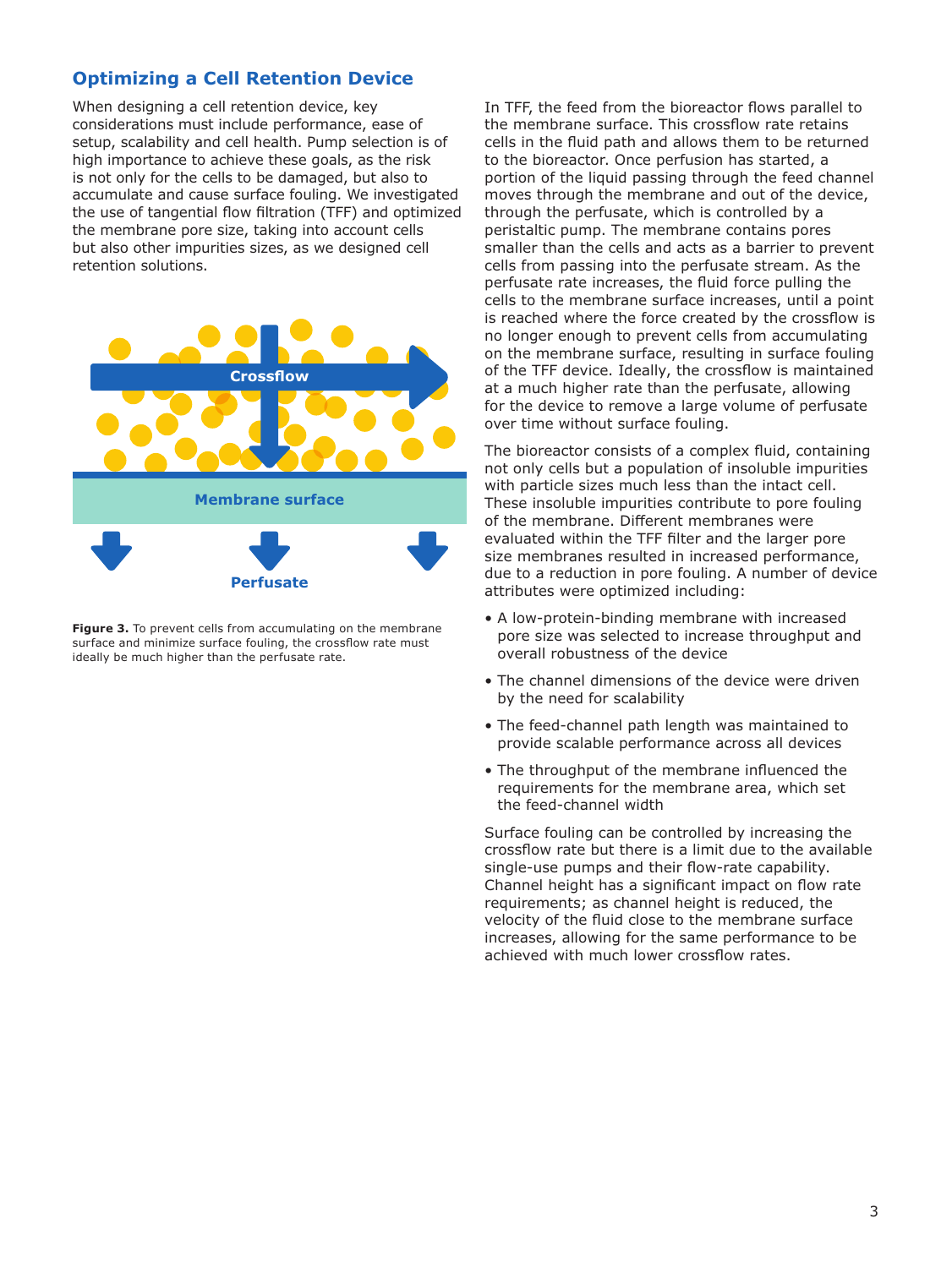# **Optimizing a Cell Retention Device**

When designing a cell retention device, key considerations must include performance, ease of setup, scalability and cell health. Pump selection is of high importance to achieve these goals, as the risk is not only for the cells to be damaged, but also to accumulate and cause surface fouling. We investigated the use of tangential flow filtration (TFF) and optimized the membrane pore size, taking into account cells but also other impurities sizes, as we designed cell retention solutions.



**Figure 3.** To prevent cells from accumulating on the membrane surface and minimize surface fouling, the crossflow rate must ideally be much higher than the perfusate rate.

In TFF, the feed from the bioreactor flows parallel to the membrane surface. This crossflow rate retains cells in the fluid path and allows them to be returned to the bioreactor. Once perfusion has started, a portion of the liquid passing through the feed channel moves through the membrane and out of the device, through the perfusate, which is controlled by a peristaltic pump. The membrane contains pores smaller than the cells and acts as a barrier to prevent cells from passing into the perfusate stream. As the perfusate rate increases, the fluid force pulling the cells to the membrane surface increases, until a point is reached where the force created by the crossflow is no longer enough to prevent cells from accumulating on the membrane surface, resulting in surface fouling of the TFF device. Ideally, the crossflow is maintained at a much higher rate than the perfusate, allowing for the device to remove a large volume of perfusate over time without surface fouling.

The bioreactor consists of a complex fluid, containing not only cells but a population of insoluble impurities with particle sizes much less than the intact cell. These insoluble impurities contribute to pore fouling of the membrane. Different membranes were evaluated within the TFF filter and the larger pore size membranes resulted in increased performance, due to a reduction in pore fouling. A number of device attributes were optimized including:

- A low-protein-binding membrane with increased pore size was selected to increase throughput and overall robustness of the device
- The channel dimensions of the device were driven by the need for scalability
- The feed-channel path length was maintained to provide scalable performance across all devices
- The throughput of the membrane influenced the requirements for the membrane area, which set the feed-channel width

Surface fouling can be controlled by increasing the crossflow rate but there is a limit due to the available single-use pumps and their flow-rate capability. Channel height has a significant impact on flow rate requirements; as channel height is reduced, the velocity of the fluid close to the membrane surface increases, allowing for the same performance to be achieved with much lower crossflow rates.